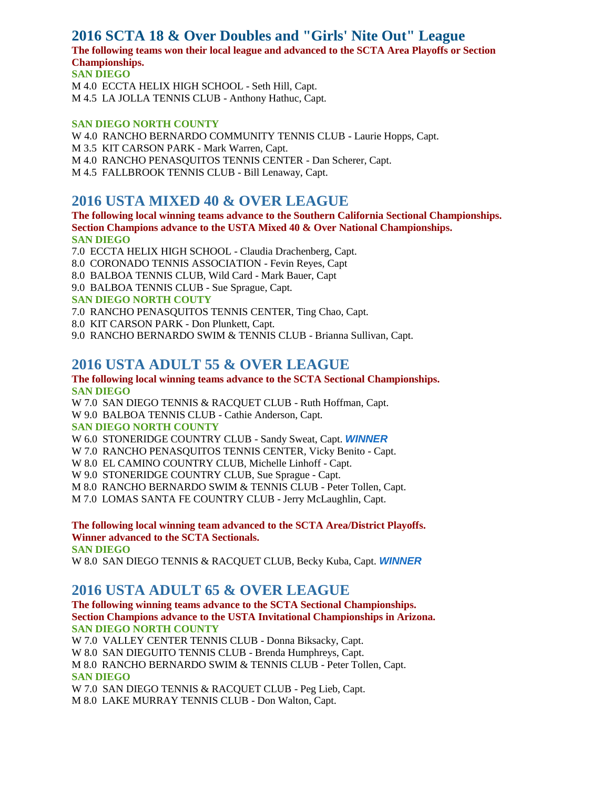# **2016 SCTA 18 & Over Doubles and "Girls' Nite Out" League**

**The following teams won their local league and advanced to the SCTA Area Playoffs or Section Championships.**

**SAN DIEGO** M 4.0 ECCTA HELIX HIGH SCHOOL - Seth Hill, Capt. M 4.5 LA JOLLA TENNIS CLUB - Anthony Hathuc, Capt.

#### **SAN DIEGO NORTH COUNTY**

W 4.0 RANCHO BERNARDO COMMUNITY TENNIS CLUB - Laurie Hopps, Capt. M 3.5 KIT CARSON PARK - Mark Warren, Capt. M 4.0 RANCHO PENASQUITOS TENNIS CENTER - Dan Scherer, Capt. M 4.5 FALLBROOK TENNIS CLUB - Bill Lenaway, Capt.

## **2016 USTA MIXED 40 & OVER LEAGUE**

**The following local winning teams advance to the Southern California Sectional Championships. Section Champions advance to the USTA Mixed 40 & Over National Championships. SAN DIEGO**

7.0 ECCTA HELIX HIGH SCHOOL - Claudia Drachenberg, Capt.

- 8.0 CORONADO TENNIS ASSOCIATION Fevin Reyes, Capt
- 8.0 BALBOA TENNIS CLUB, Wild Card Mark Bauer, Capt
- 9.0 BALBOA TENNIS CLUB Sue Sprague, Capt.

### **SAN DIEGO NORTH COUTY**

- 7.0 RANCHO PENASQUITOS TENNIS CENTER, Ting Chao, Capt.
- 8.0 KIT CARSON PARK Don Plunkett, Capt.
- 9.0 RANCHO BERNARDO SWIM & TENNIS CLUB Brianna Sullivan, Capt.

## **2016 USTA ADULT 55 & OVER LEAGUE**

#### **The following local winning teams advance to the SCTA Sectional Championships. SAN DIEGO**

W 7.0 SAN DIEGO TENNIS & RACQUET CLUB - Ruth Hoffman, Capt.

W 9.0 BALBOA TENNIS CLUB - Cathie Anderson, Capt.

#### **SAN DIEGO NORTH COUNTY**

W 6.0 STONERIDGE COUNTRY CLUB - Sandy Sweat, Capt. *WINNER*

- W 7.0 RANCHO PENASQUITOS TENNIS CENTER, Vicky Benito Capt.
- W 8.0 EL CAMINO COUNTRY CLUB, Michelle Linhoff Capt.
- W 9.0 STONERIDGE COUNTRY CLUB, Sue Sprague Capt.

M 8.0 RANCHO BERNARDO SWIM & TENNIS CLUB - Peter Tollen, Capt.

M 7.0 LOMAS SANTA FE COUNTRY CLUB - Jerry McLaughlin, Capt.

### **The following local winning team advanced to the SCTA Area/District Playoffs. Winner advanced to the SCTA Sectionals.**

**SAN DIEGO**

W 8.0 SAN DIEGO TENNIS & RACQUET CLUB, Becky Kuba, Capt. *WINNER*

# **2016 USTA ADULT 65 & OVER LEAGUE**

#### **The following winning teams advance to the SCTA Sectional Championships. Section Champions advance to the USTA Invitational Championships in Arizona. SAN DIEGO NORTH COUNTY**

W 7.0 VALLEY CENTER TENNIS CLUB - Donna Biksacky, Capt. W 8.0 SAN DIEGUITO TENNIS CLUB - Brenda Humphreys, Capt. M 8.0 RANCHO BERNARDO SWIM & TENNIS CLUB - Peter Tollen, Capt. **SAN DIEGO**

W 7.0 SAN DIEGO TENNIS & RACQUET CLUB - Peg Lieb, Capt. M 8.0 LAKE MURRAY TENNIS CLUB - Don Walton, Capt.